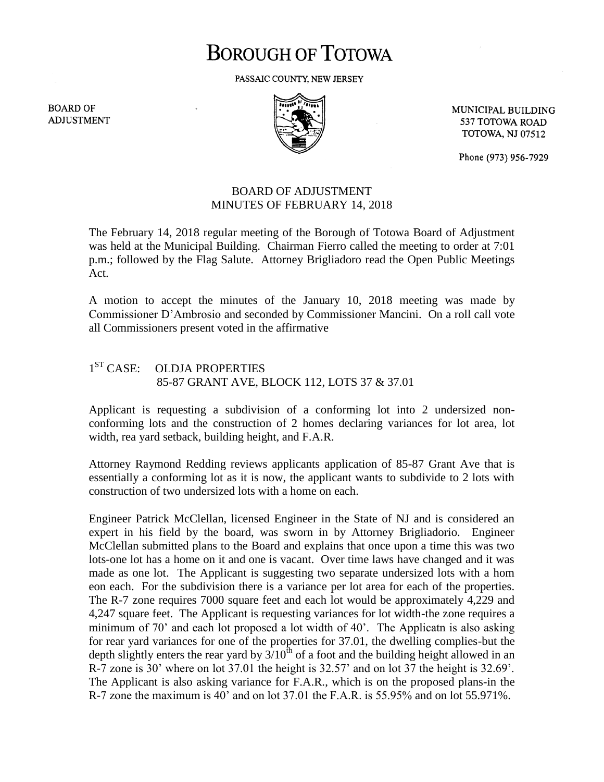## **BOROUGH OF TOTOWA**

PASSAIC COUNTY, NEW JERSEY

**BOARD OF ADJUSTMENT** 



MUNICIPAL BUILDING 537 TOTOWA ROAD **TOTOWA, NJ 07512** 

Phone (973) 956-7929

## BOARD OF ADJUSTMENT MINUTES OF FEBRUARY 14, 2018

The February 14, 2018 regular meeting of the Borough of Totowa Board of Adjustment was held at the Municipal Building. Chairman Fierro called the meeting to order at 7:01 p.m.; followed by the Flag Salute. Attorney Brigliadoro read the Open Public Meetings Act.

A motion to accept the minutes of the January 10, 2018 meeting was made by Commissioner D'Ambrosio and seconded by Commissioner Mancini. On a roll call vote all Commissioners present voted in the affirmative

## $1<sup>ST</sup> CASE:$ OLDJA PROPERTIES 85-87 GRANT AVE, BLOCK 112, LOTS 37 & 37.01

Applicant is requesting a subdivision of a conforming lot into 2 undersized nonconforming lots and the construction of 2 homes declaring variances for lot area, lot width, rea yard setback, building height, and F.A.R.

Attorney Raymond Redding reviews applicants application of 85-87 Grant Ave that is essentially a conforming lot as it is now, the applicant wants to subdivide to 2 lots with construction of two undersized lots with a home on each.

Engineer Patrick McClellan, licensed Engineer in the State of NJ and is considered an expert in his field by the board, was sworn in by Attorney Brigliadorio. Engineer McClellan submitted plans to the Board and explains that once upon a time this was two lots-one lot has a home on it and one is vacant. Over time laws have changed and it was made as one lot. The Applicant is suggesting two separate undersized lots with a hom eon each. For the subdivision there is a variance per lot area for each of the properties. The R-7 zone requires 7000 square feet and each lot would be approximately 4,229 and 4,247 square feet. The Applicant is requesting variances for lot width-the zone requires a minimum of 70' and each lot proposed a lot width of 40'. The Applicatn is also asking for rear yard variances for one of the properties for 37.01, the dwelling complies-but the depth slightly enters the rear yard by  $3/10^{th}$  of a foot and the building height allowed in an R-7 zone is 30' where on lot 37.01 the height is 32.57' and on lot 37 the height is 32.69'. The Applicant is also asking variance for F.A.R., which is on the proposed plans-in the R-7 zone the maximum is 40' and on lot 37.01 the F.A.R. is 55.95% and on lot 55.971%.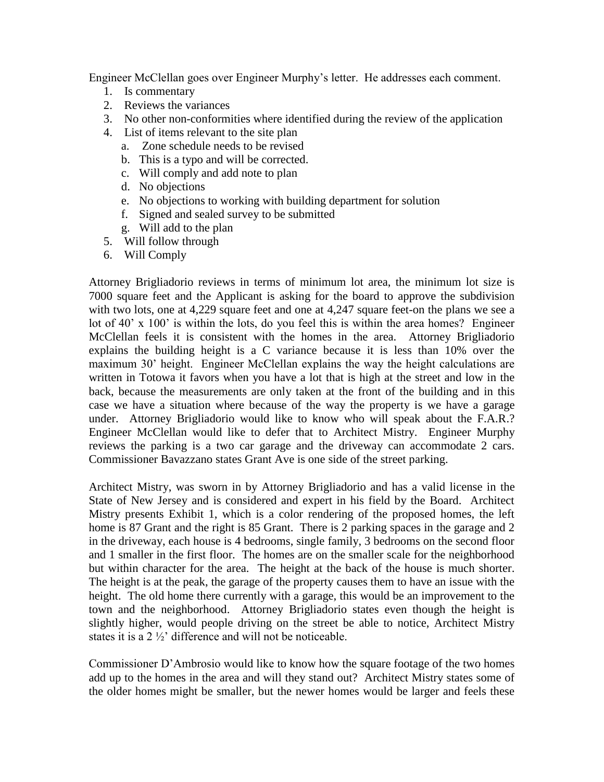Engineer McClellan goes over Engineer Murphy's letter. He addresses each comment.

- 1. Is commentary
- 2. Reviews the variances
- 3. No other non-conformities where identified during the review of the application
- 4. List of items relevant to the site plan
	- a. Zone schedule needs to be revised
	- b. This is a typo and will be corrected.
	- c. Will comply and add note to plan
	- d. No objections
	- e. No objections to working with building department for solution
	- f. Signed and sealed survey to be submitted
	- g. Will add to the plan
- 5. Will follow through
- 6. Will Comply

Attorney Brigliadorio reviews in terms of minimum lot area, the minimum lot size is 7000 square feet and the Applicant is asking for the board to approve the subdivision with two lots, one at 4,229 square feet and one at 4,247 square feet-on the plans we see a lot of 40' x 100' is within the lots, do you feel this is within the area homes? Engineer McClellan feels it is consistent with the homes in the area. Attorney Brigliadorio explains the building height is a C variance because it is less than 10% over the maximum 30' height. Engineer McClellan explains the way the height calculations are written in Totowa it favors when you have a lot that is high at the street and low in the back, because the measurements are only taken at the front of the building and in this case we have a situation where because of the way the property is we have a garage under. Attorney Brigliadorio would like to know who will speak about the F.A.R.? Engineer McClellan would like to defer that to Architect Mistry. Engineer Murphy reviews the parking is a two car garage and the driveway can accommodate 2 cars. Commissioner Bavazzano states Grant Ave is one side of the street parking.

Architect Mistry, was sworn in by Attorney Brigliadorio and has a valid license in the State of New Jersey and is considered and expert in his field by the Board. Architect Mistry presents Exhibit 1, which is a color rendering of the proposed homes, the left home is 87 Grant and the right is 85 Grant. There is 2 parking spaces in the garage and 2 in the driveway, each house is 4 bedrooms, single family, 3 bedrooms on the second floor and 1 smaller in the first floor. The homes are on the smaller scale for the neighborhood but within character for the area. The height at the back of the house is much shorter. The height is at the peak, the garage of the property causes them to have an issue with the height. The old home there currently with a garage, this would be an improvement to the town and the neighborhood. Attorney Brigliadorio states even though the height is slightly higher, would people driving on the street be able to notice, Architect Mistry states it is a 2 ½' difference and will not be noticeable.

Commissioner D'Ambrosio would like to know how the square footage of the two homes add up to the homes in the area and will they stand out? Architect Mistry states some of the older homes might be smaller, but the newer homes would be larger and feels these